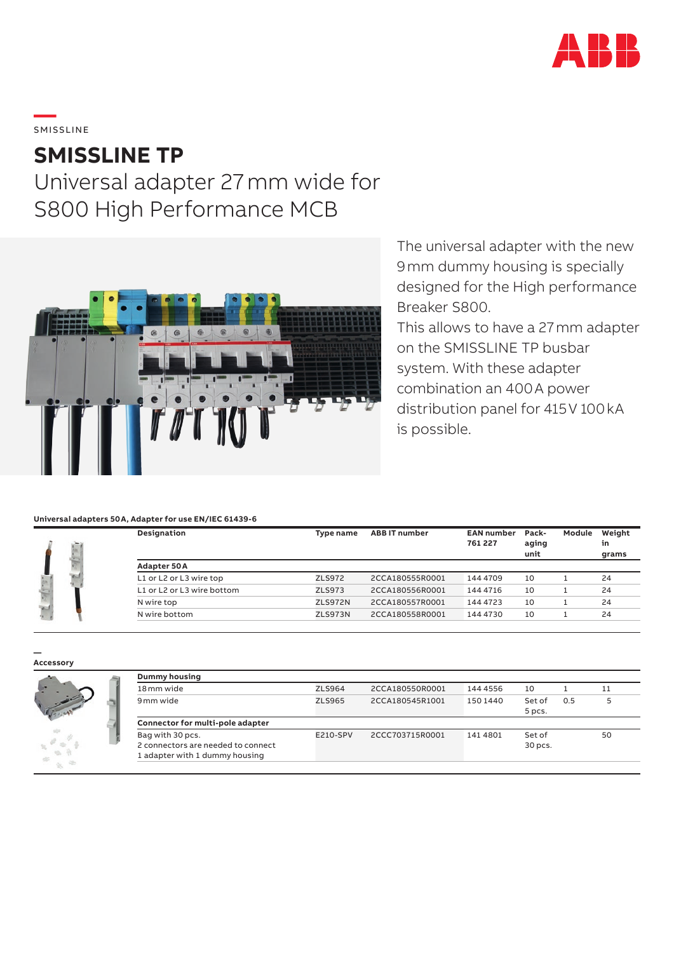

**—**  SMISSLINE

### **SMISSLINE TP**

## Universal adapter 27mm wide for S800 High Performance MCB



The universal adapter with the new 9mm dummy housing is specially designed for the High performance Breaker S800.

This allows to have a 27mm adapter on the SMISSLINE TP busbar system. With these adapter combination an 400A power distribution panel for 415V 100kA is possible.

### **Universal adapters 50A, Adapter for use EN/IEC 61439-6**

| Designation                | Type name      | <b>ABB IT number</b> | <b>EAN number</b><br>761 227 | Pack-<br>aging<br>unit | Module | Weight<br>in<br>grams |
|----------------------------|----------------|----------------------|------------------------------|------------------------|--------|-----------------------|
| Adapter 50A                |                |                      |                              |                        |        |                       |
| L1 or L2 or L3 wire top    | ZLS972         | 2CCA180555R0001      | 144 4709                     | 10                     |        | 24                    |
| L1 or L2 or L3 wire bottom | <b>ZLS973</b>  | 2CCA180556R0001      | 144 4716                     | 10                     |        | 24                    |
| N wire top                 | <b>ZLS972N</b> | 2CCA180557R0001      | 144 4723                     | 10                     |        | 24                    |
| N wire bottom              | <b>ZLS973N</b> | 2CCA180558R0001      | 144 4730                     | 10                     |        | 24                    |

#### **— Accessory**



| <b>Dummy housing</b>                                                                     |          |                 |          |                   |     |    |
|------------------------------------------------------------------------------------------|----------|-----------------|----------|-------------------|-----|----|
| 18 <sub>mm</sub> wide                                                                    | ZLS964   | 2CCA180550R0001 | 144 4556 | 10                |     | 11 |
| 9 mm wide                                                                                | ZLS965   | 2CCA180545R1001 | 150 1440 | Set of<br>5 pcs.  | 0.5 | 5  |
| Connector for multi-pole adapter                                                         |          |                 |          |                   |     |    |
| Bag with 30 pcs.<br>2 connectors are needed to connect<br>1 adapter with 1 dummy housing | E210-SPV | 2CCC703715R0001 | 141 4801 | Set of<br>30 pcs. |     | 50 |